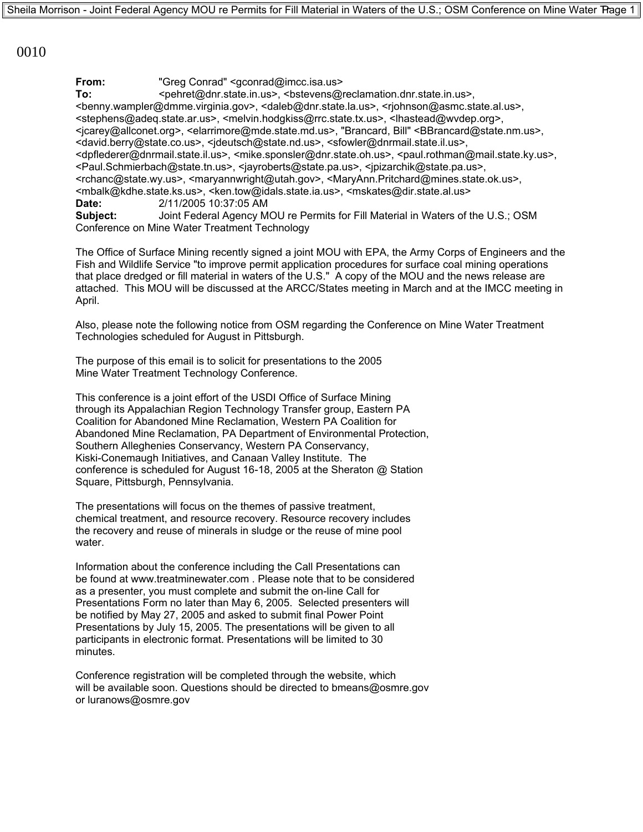0010

**From:** "Greg Conrad" <gconrad@imcc.isa.us>

To: <pehret@dnr.state.in.us>, <bstevens@reclamation.dnr.state.in.us>. <benny.wampler@dmme.virginia.gov>, <daleb@dnr.state.la.us>, <rjohnson@asmc.state.al.us>, <stephens@adeq.state.ar.us>, <melvin.hodgkiss@rrc.state.tx.us>, <lhastead@wvdep.org>, <jcarey@allconet.org>, <elarrimore@mde.state.md.us>, "Brancard, Bill" <BBrancard@state.nm.us>, <david.berry@state.co.us>, <jdeutsch@state.nd.us>, <sfowler@dnrmail.state.il.us>, <dpflederer@dnrmail.state.il.us>, <mike.sponsler@dnr.state.oh.us>, <paul.rothman@mail.state.ky.us>, <Paul.Schmierbach@state.tn.us>, <jayroberts@state.pa.us>, <jpizarchik@state.pa.us>, <rchanc@state.wy.us>, <maryannwright@utah.gov>, <MaryAnn.Pritchard@mines.state.ok.us>, <mbalk@kdhe.state.ks.us>, <ken.tow@idals.state.ia.us>, <mskates@dir.state.al.us>

**Date:** 2/11/2005 10:37:05 AM

**Subject:** Joint Federal Agency MOU re Permits for Fill Material in Waters of the U.S.; OSM Conference on Mine Water Treatment Technology

The Office of Surface Mining recently signed a joint MOU with EPA, the Army Corps of Engineers and the Fish and Wildlife Service "to improve permit application procedures for surface coal mining operations that place dredged or fill material in waters of the U.S." A copy of the MOU and the news release are attached. This MOU will be discussed at the ARCC/States meeting in March and at the IMCC meeting in April.

Also, please note the following notice from OSM regarding the Conference on Mine Water Treatment Technologies scheduled for August in Pittsburgh.

The purpose of this email is to solicit for presentations to the 2005 Mine Water Treatment Technology Conference.

This conference is a joint effort of the USDI Office of Surface Mining through its Appalachian Region Technology Transfer group, Eastern PA Coalition for Abandoned Mine Reclamation, Western PA Coalition for Abandoned Mine Reclamation, PA Department of Environmental Protection, Southern Alleghenies Conservancy, Western PA Conservancy, Kiski-Conemaugh Initiatives, and Canaan Valley Institute. The conference is scheduled for August 16-18, 2005 at the Sheraton @ Station Square, Pittsburgh, Pennsylvania.

The presentations will focus on the themes of passive treatment, chemical treatment, and resource recovery. Resource recovery includes the recovery and reuse of minerals in sludge or the reuse of mine pool water.

Information about the conference including the Call Presentations can be found at www.treatminewater.com . Please note that to be considered as a presenter, you must complete and submit the on-line Call for Presentations Form no later than May 6, 2005. Selected presenters will be notified by May 27, 2005 and asked to submit final Power Point Presentations by July 15, 2005. The presentations will be given to all participants in electronic format. Presentations will be limited to 30 minutes.

Conference registration will be completed through the website, which will be available soon. Questions should be directed to bmeans@osmre.gov or luranows@osmre.gov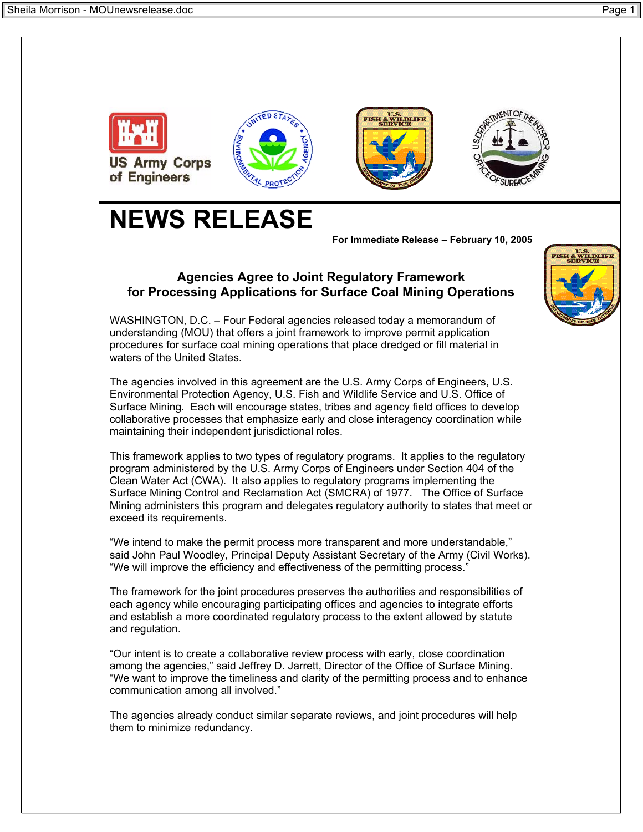

# **NEWS RELEASE**

**For Immediate Release – February 10, 2005**

## **Agencies Agree to Joint Regulatory Framework for Processing Applications for Surface Coal Mining Operations**

WASHINGTON, D.C. – Four Federal agencies released today a memorandum of understanding (MOU) that offers a joint framework to improve permit application procedures for surface coal mining operations that place dredged or fill material in waters of the United States.

The agencies involved in this agreement are the U.S. Army Corps of Engineers, U.S. Environmental Protection Agency, U.S. Fish and Wildlife Service and U.S. Office of Surface Mining. Each will encourage states, tribes and agency field offices to develop collaborative processes that emphasize early and close interagency coordination while maintaining their independent jurisdictional roles.

This framework applies to two types of regulatory programs. It applies to the regulatory program administered by the U.S. Army Corps of Engineers under Section 404 of the Clean Water Act (CWA). It also applies to regulatory programs implementing the Surface Mining Control and Reclamation Act (SMCRA) of 1977. The Office of Surface Mining administers this program and delegates regulatory authority to states that meet or exceed its requirements.

"We intend to make the permit process more transparent and more understandable," said John Paul Woodley, Principal Deputy Assistant Secretary of the Army (Civil Works). "We will improve the efficiency and effectiveness of the permitting process."

The framework for the joint procedures preserves the authorities and responsibilities of each agency while encouraging participating offices and agencies to integrate efforts and establish a more coordinated regulatory process to the extent allowed by statute and regulation.

"Our intent is to create a collaborative review process with early, close coordination among the agencies," said Jeffrey D. Jarrett, Director of the Office of Surface Mining. "We want to improve the timeliness and clarity of the permitting process and to enhance communication among all involved."

The agencies already conduct similar separate reviews, and joint procedures will help them to minimize redundancy.

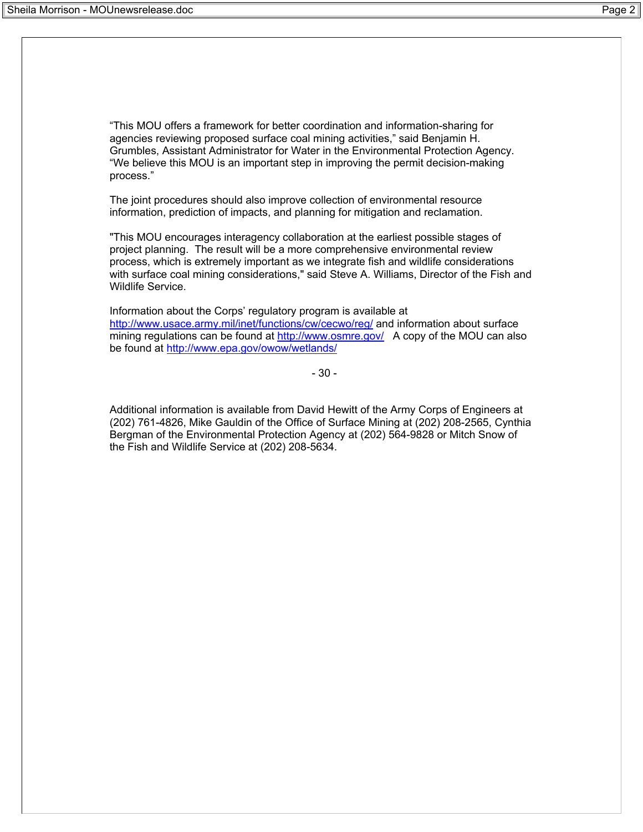"This MOU offers a framework for better coordination and information-sharing for agencies reviewing proposed surface coal mining activities," said Benjamin H. Grumbles, Assistant Administrator for Water in the Environmental Protection Agency. "We believe this MOU is an important step in improving the permit decision-making process."

The joint procedures should also improve collection of environmental resource information, prediction of impacts, and planning for mitigation and reclamation.

"This MOU encourages interagency collaboration at the earliest possible stages of project planning. The result will be a more comprehensive environmental review process, which is extremely important as we integrate fish and wildlife considerations with surface coal mining considerations," said Steve A. Williams, Director of the Fish and Wildlife Service.

Information about the Corps' regulatory program is available at http://www.usace.army.mil/inet/functions/cw/cecwo/reg/ and information about surface mining regulations can be found at http://www.osmre.gov/ A copy of the MOU can also be found at http://www.epa.gov/owow/wetlands/

- 30 -

Additional information is available from David Hewitt of the Army Corps of Engineers at (202) 761-4826, Mike Gauldin of the Office of Surface Mining at (202) 208-2565, Cynthia Bergman of the Environmental Protection Agency at (202) 564-9828 or Mitch Snow of the Fish and Wildlife Service at (202) 208-5634.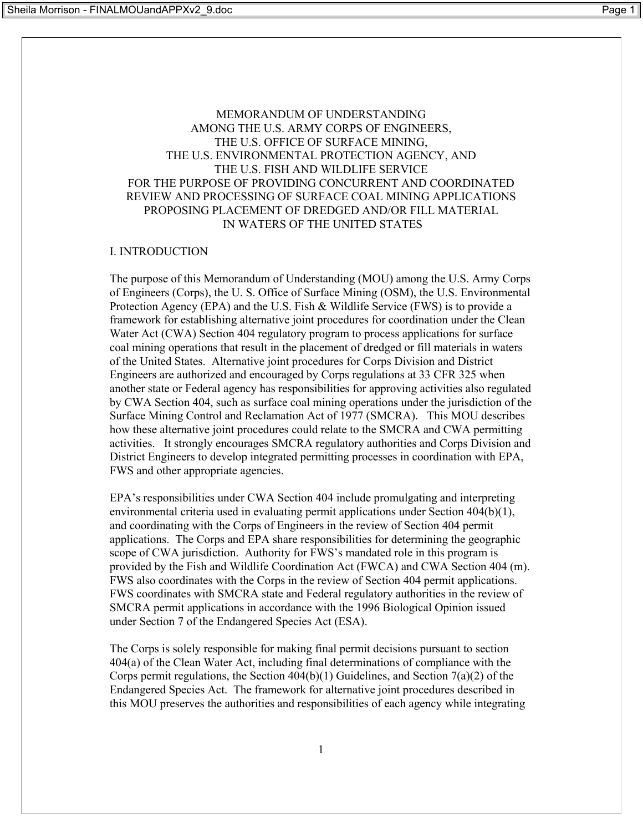## MEMORANDUM OF UNDERSTANDING AMONG THE U.S. ARMY CORPS OF ENGINEERS, THE U.S. OFFICE OF SURFACE MINING, THE U.S. ENVIRONMENTAL PROTECTION AGENCY, AND THE U.S. FISH AND WILDLIFE SERVICE FOR THE PURPOSE OF PROVIDING CONCURRENT AND COORDINATED REVIEW AND PROCESSING OF SURFACE COAL MINING APPLICATIONS PROPOSING PLACEMENT OF DREDGED AND/OR FILL MATERIAL IN WATERS OF THE UNITED STATES

## I. INTRODUCTION

The purpose of this Memorandum of Understanding (MOU) among the U.S. Army Corps of Engineers (Corps), the U. S. Office of Surface Mining (OSM), the U.S. Environmental Protection Agency (EPA) and the U.S. Fish & Wildlife Service (FWS) is to provide a framework for establishing alternative joint procedures for coordination under the Clean Water Act (CWA) Section 404 regulatory program to process applications for surface coal mining operations that result in the placement of dredged or fill materials in waters of the United States. Alternative joint procedures for Corps Division and District Engineers are authorized and encouraged by Corps regulations at 33 CFR 325 when another state or Federal agency has responsibilities for approving activities also regulated by CWA Section 404, such as surface coal mining operations under the jurisdiction of the Surface Mining Control and Reclamation Act of 1977 (SMCRA). This MOU describes how these alternative joint procedures could relate to the SMCRA and CWA permitting activities. It strongly encourages SMCRA regulatory authorities and Corps Division and District Engineers to develop integrated permitting processes in coordination with EPA, FWS and other appropriate agencies.

EPA's responsibilities under CWA Section 404 include promulgating and interpreting environmental criteria used in evaluating permit applications under Section 404(b)(1), and coordinating with the Corps of Engineers in the review of Section 404 permit applications. The Corps and EPA share responsibilities for determining the geographic scope of CWA jurisdiction. Authority for FWS's mandated role in this program is provided by the Fish and Wildlife Coordination Act (FWCA) and CWA Section 404 (m). FWS also coordinates with the Corps in the review of Section 404 permit applications. FWS coordinates with SMCRA state and Federal regulatory authorities in the review of SMCRA permit applications in accordance with the 1996 Biological Opinion issued under Section 7 of the Endangered Species Act (ESA).

The Corps is solely responsible for making final permit decisions pursuant to section 404(a) of the Clean Water Act, including final determinations of compliance with the Corps permit regulations, the Section 404(b)(1) Guidelines, and Section 7(a)(2) of the Endangered Species Act. The framework for alternative joint procedures described in this MOU preserves the authorities and responsibilities of each agency while integrating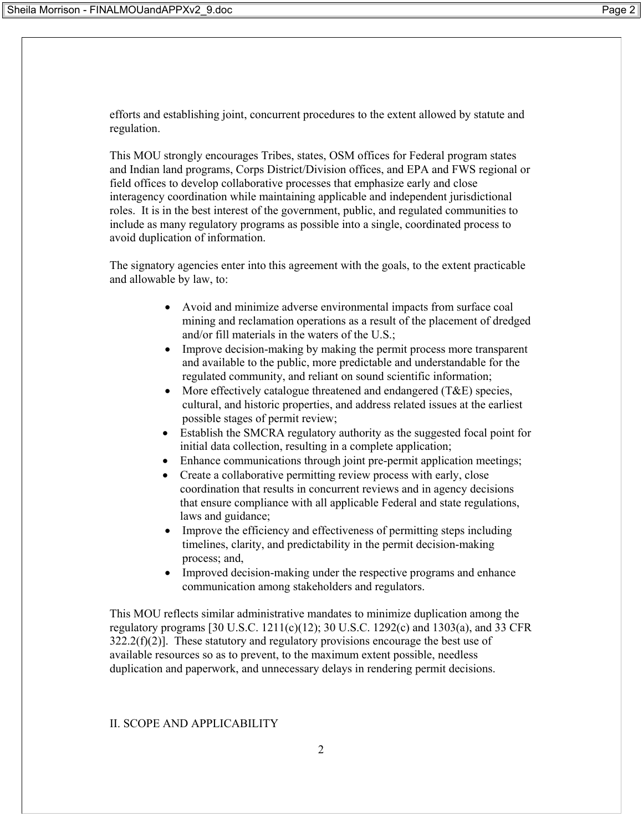efforts and establishing joint, concurrent procedures to the extent allowed by statute and regulation.

This MOU strongly encourages Tribes, states, OSM offices for Federal program states and Indian land programs, Corps District/Division offices, and EPA and FWS regional or field offices to develop collaborative processes that emphasize early and close interagency coordination while maintaining applicable and independent jurisdictional roles. It is in the best interest of the government, public, and regulated communities to include as many regulatory programs as possible into a single, coordinated process to avoid duplication of information.

The signatory agencies enter into this agreement with the goals, to the extent practicable and allowable by law, to:

- Avoid and minimize adverse environmental impacts from surface coal mining and reclamation operations as a result of the placement of dredged and/or fill materials in the waters of the U.S.;
- Improve decision-making by making the permit process more transparent and available to the public, more predictable and understandable for the regulated community, and reliant on sound scientific information;
- More effectively catalogue threatened and endangered  $(T&E)$  species, cultural, and historic properties, and address related issues at the earliest possible stages of permit review;
- Establish the SMCRA regulatory authority as the suggested focal point for initial data collection, resulting in a complete application;
- Enhance communications through joint pre-permit application meetings;
- Create a collaborative permitting review process with early, close coordination that results in concurrent reviews and in agency decisions that ensure compliance with all applicable Federal and state regulations, laws and guidance;
- Improve the efficiency and effectiveness of permitting steps including timelines, clarity, and predictability in the permit decision-making process; and,
- Improved decision-making under the respective programs and enhance communication among stakeholders and regulators.

This MOU reflects similar administrative mandates to minimize duplication among the regulatory programs [30 U.S.C. 1211(c)(12); 30 U.S.C. 1292(c) and 1303(a), and 33 CFR  $322.2(f)(2)$ ]. These statutory and regulatory provisions encourage the best use of available resources so as to prevent, to the maximum extent possible, needless duplication and paperwork, and unnecessary delays in rendering permit decisions.

## II. SCOPE AND APPLICABILITY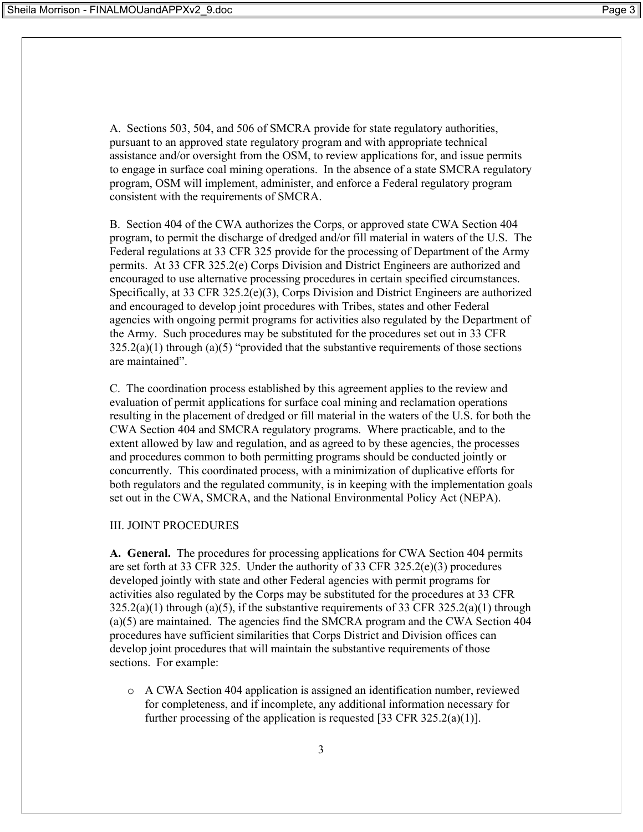A. Sections 503, 504, and 506 of SMCRA provide for state regulatory authorities, pursuant to an approved state regulatory program and with appropriate technical assistance and/or oversight from the OSM, to review applications for, and issue permits to engage in surface coal mining operations. In the absence of a state SMCRA regulatory program, OSM will implement, administer, and enforce a Federal regulatory program consistent with the requirements of SMCRA.

B. Section 404 of the CWA authorizes the Corps, or approved state CWA Section 404 program, to permit the discharge of dredged and/or fill material in waters of the U.S. The Federal regulations at 33 CFR 325 provide for the processing of Department of the Army permits. At 33 CFR 325.2(e) Corps Division and District Engineers are authorized and encouraged to use alternative processing procedures in certain specified circumstances. Specifically, at 33 CFR 325.2(e)(3), Corps Division and District Engineers are authorized and encouraged to develop joint procedures with Tribes, states and other Federal agencies with ongoing permit programs for activities also regulated by the Department of the Army. Such procedures may be substituted for the procedures set out in 33 CFR  $325.2(a)(1)$  through  $(a)(5)$  "provided that the substantive requirements of those sections are maintained".

C. The coordination process established by this agreement applies to the review and evaluation of permit applications for surface coal mining and reclamation operations resulting in the placement of dredged or fill material in the waters of the U.S. for both the CWA Section 404 and SMCRA regulatory programs. Where practicable, and to the extent allowed by law and regulation, and as agreed to by these agencies, the processes and procedures common to both permitting programs should be conducted jointly or concurrently. This coordinated process, with a minimization of duplicative efforts for both regulators and the regulated community, is in keeping with the implementation goals set out in the CWA, SMCRA, and the National Environmental Policy Act (NEPA).

#### III. JOINT PROCEDURES

**A. General.** The procedures for processing applications for CWA Section 404 permits are set forth at 33 CFR 325. Under the authority of 33 CFR 325.2(e)(3) procedures developed jointly with state and other Federal agencies with permit programs for activities also regulated by the Corps may be substituted for the procedures at 33 CFR  $325.2(a)(1)$  through  $(a)(5)$ , if the substantive requirements of 33 CFR 325.2(a)(1) through (a)(5) are maintained. The agencies find the SMCRA program and the CWA Section 404 procedures have sufficient similarities that Corps District and Division offices can develop joint procedures that will maintain the substantive requirements of those sections. For example:

o A CWA Section 404 application is assigned an identification number, reviewed for completeness, and if incomplete, any additional information necessary for further processing of the application is requested [33 CFR 325.2(a)(1)].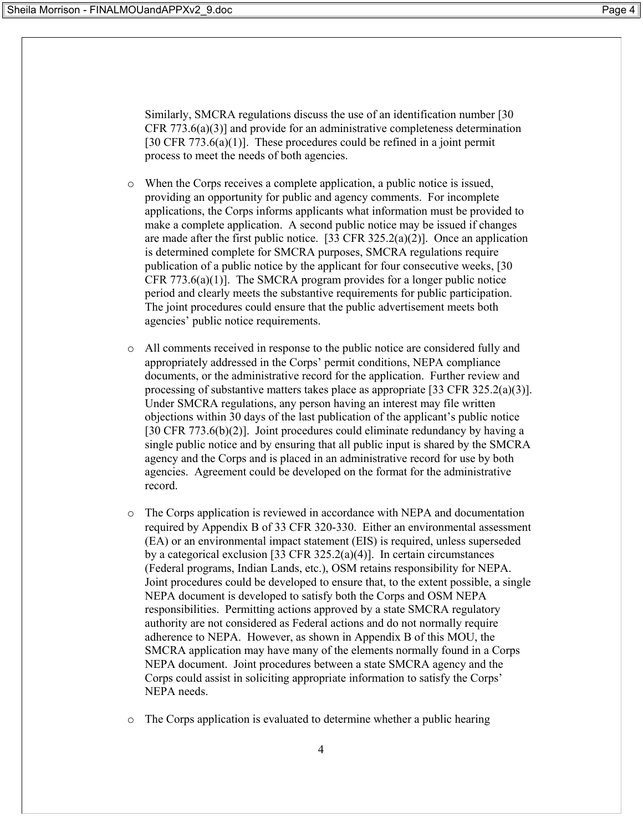Similarly, SMCRA regulations discuss the use of an identification number [30 CFR 773.6(a)(3)] and provide for an administrative completeness determination [30 CFR 773.6(a)(1)]. These procedures could be refined in a joint permit process to meet the needs of both agencies.

- o When the Corps receives a complete application, a public notice is issued, providing an opportunity for public and agency comments. For incomplete applications, the Corps informs applicants what information must be provided to make a complete application. A second public notice may be issued if changes are made after the first public notice. [33 CFR  $325.2(a)(2)$ ]. Once an application is determined complete for SMCRA purposes, SMCRA regulations require publication of a public notice by the applicant for four consecutive weeks, [30 CFR 773.6(a)(1)]. The SMCRA program provides for a longer public notice period and clearly meets the substantive requirements for public participation. The joint procedures could ensure that the public advertisement meets both agencies' public notice requirements.
- o All comments received in response to the public notice are considered fully and appropriately addressed in the Corps' permit conditions, NEPA compliance documents, or the administrative record for the application. Further review and processing of substantive matters takes place as appropriate [33 CFR 325.2(a)(3)]. Under SMCRA regulations, any person having an interest may file written objections within 30 days of the last publication of the applicant's public notice [30 CFR 773.6(b)(2)]. Joint procedures could eliminate redundancy by having a single public notice and by ensuring that all public input is shared by the SMCRA agency and the Corps and is placed in an administrative record for use by both agencies. Agreement could be developed on the format for the administrative record.
- o The Corps application is reviewed in accordance with NEPA and documentation required by Appendix B of 33 CFR 320-330. Either an environmental assessment (EA) or an environmental impact statement (EIS) is required, unless superseded by a categorical exclusion [33 CFR 325.2(a)(4)]. In certain circumstances (Federal programs, Indian Lands, etc.), OSM retains responsibility for NEPA. Joint procedures could be developed to ensure that, to the extent possible, a single NEPA document is developed to satisfy both the Corps and OSM NEPA responsibilities. Permitting actions approved by a state SMCRA regulatory authority are not considered as Federal actions and do not normally require adherence to NEPA. However, as shown in Appendix B of this MOU, the SMCRA application may have many of the elements normally found in a Corps NEPA document. Joint procedures between a state SMCRA agency and the Corps could assist in soliciting appropriate information to satisfy the Corps' NEPA needs.
- o The Corps application is evaluated to determine whether a public hearing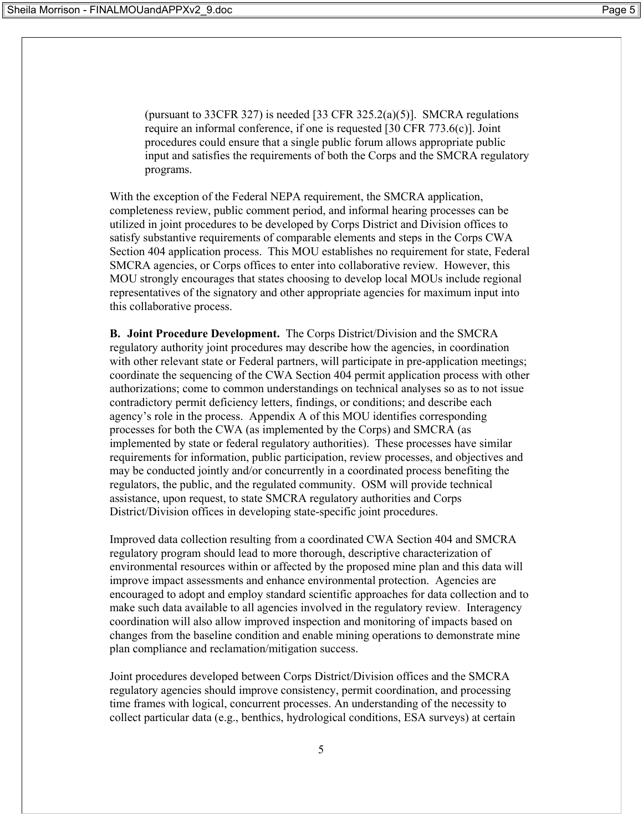(pursuant to 33CFR 327) is needed [33 CFR 325.2(a)(5)]. SMCRA regulations require an informal conference, if one is requested [30 CFR 773.6(c)]. Joint procedures could ensure that a single public forum allows appropriate public input and satisfies the requirements of both the Corps and the SMCRA regulatory programs.

With the exception of the Federal NEPA requirement, the SMCRA application, completeness review, public comment period, and informal hearing processes can be utilized in joint procedures to be developed by Corps District and Division offices to satisfy substantive requirements of comparable elements and steps in the Corps CWA Section 404 application process. This MOU establishes no requirement for state, Federal SMCRA agencies, or Corps offices to enter into collaborative review. However, this MOU strongly encourages that states choosing to develop local MOUs include regional representatives of the signatory and other appropriate agencies for maximum input into this collaborative process.

**B. Joint Procedure Development.** The Corps District/Division and the SMCRA regulatory authority joint procedures may describe how the agencies, in coordination with other relevant state or Federal partners, will participate in pre-application meetings; coordinate the sequencing of the CWA Section 404 permit application process with other authorizations; come to common understandings on technical analyses so as to not issue contradictory permit deficiency letters, findings, or conditions; and describe each agency's role in the process. Appendix A of this MOU identifies corresponding processes for both the CWA (as implemented by the Corps) and SMCRA (as implemented by state or federal regulatory authorities). These processes have similar requirements for information, public participation, review processes, and objectives and may be conducted jointly and/or concurrently in a coordinated process benefiting the regulators, the public, and the regulated community. OSM will provide technical assistance, upon request, to state SMCRA regulatory authorities and Corps District/Division offices in developing state-specific joint procedures.

Improved data collection resulting from a coordinated CWA Section 404 and SMCRA regulatory program should lead to more thorough, descriptive characterization of environmental resources within or affected by the proposed mine plan and this data will improve impact assessments and enhance environmental protection. Agencies are encouraged to adopt and employ standard scientific approaches for data collection and to make such data available to all agencies involved in the regulatory review. Interagency coordination will also allow improved inspection and monitoring of impacts based on changes from the baseline condition and enable mining operations to demonstrate mine plan compliance and reclamation/mitigation success.

Joint procedures developed between Corps District/Division offices and the SMCRA regulatory agencies should improve consistency, permit coordination, and processing time frames with logical, concurrent processes. An understanding of the necessity to collect particular data (e.g., benthics, hydrological conditions, ESA surveys) at certain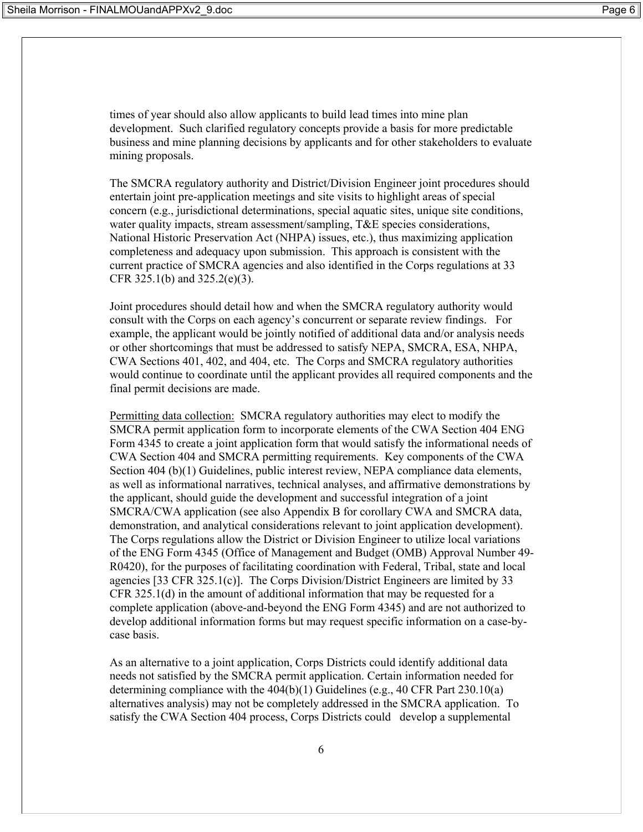times of year should also allow applicants to build lead times into mine plan development. Such clarified regulatory concepts provide a basis for more predictable business and mine planning decisions by applicants and for other stakeholders to evaluate mining proposals.

The SMCRA regulatory authority and District/Division Engineer joint procedures should entertain joint pre-application meetings and site visits to highlight areas of special concern (e.g., jurisdictional determinations, special aquatic sites, unique site conditions, water quality impacts, stream assessment/sampling, T&E species considerations, National Historic Preservation Act (NHPA) issues, etc.), thus maximizing application completeness and adequacy upon submission. This approach is consistent with the current practice of SMCRA agencies and also identified in the Corps regulations at 33 CFR 325.1(b) and 325.2(e)(3).

Joint procedures should detail how and when the SMCRA regulatory authority would consult with the Corps on each agency's concurrent or separate review findings. For example, the applicant would be jointly notified of additional data and/or analysis needs or other shortcomings that must be addressed to satisfy NEPA, SMCRA, ESA, NHPA, CWA Sections 401, 402, and 404, etc. The Corps and SMCRA regulatory authorities would continue to coordinate until the applicant provides all required components and the final permit decisions are made.

Permitting data collection: SMCRA regulatory authorities may elect to modify the SMCRA permit application form to incorporate elements of the CWA Section 404 ENG Form 4345 to create a joint application form that would satisfy the informational needs of CWA Section 404 and SMCRA permitting requirements. Key components of the CWA Section 404 (b)(1) Guidelines, public interest review, NEPA compliance data elements, as well as informational narratives, technical analyses, and affirmative demonstrations by the applicant, should guide the development and successful integration of a joint SMCRA/CWA application (see also Appendix B for corollary CWA and SMCRA data, demonstration, and analytical considerations relevant to joint application development). The Corps regulations allow the District or Division Engineer to utilize local variations of the ENG Form 4345 (Office of Management and Budget (OMB) Approval Number 49- R0420), for the purposes of facilitating coordination with Federal, Tribal, state and local agencies [33 CFR 325.1(c)]. The Corps Division/District Engineers are limited by 33 CFR 325.1(d) in the amount of additional information that may be requested for a complete application (above-and-beyond the ENG Form 4345) and are not authorized to develop additional information forms but may request specific information on a case-bycase basis.

As an alternative to a joint application, Corps Districts could identify additional data needs not satisfied by the SMCRA permit application. Certain information needed for determining compliance with the  $404(b)(1)$  Guidelines (e.g., 40 CFR Part 230.10(a) alternatives analysis) may not be completely addressed in the SMCRA application. To satisfy the CWA Section 404 process, Corps Districts could develop a supplemental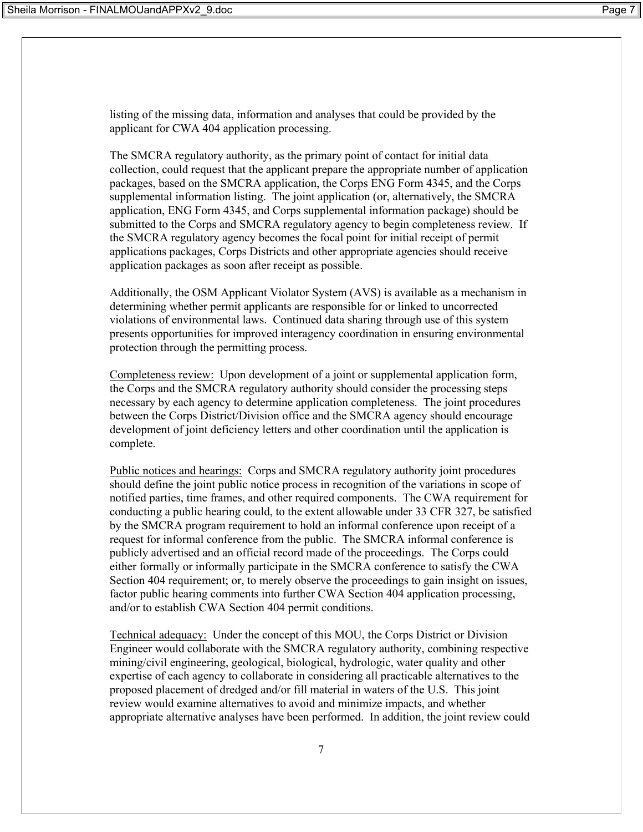listing of the missing data, information and analyses that could be provided by the applicant for CWA 404 application processing.

The SMCRA regulatory authority, as the primary point of contact for initial data collection, could request that the applicant prepare the appropriate number of application packages, based on the SMCRA application, the Corps ENG Form 4345, and the Corps supplemental information listing. The joint application (or, alternatively, the SMCRA application, ENG Form 4345, and Corps supplemental information package) should be submitted to the Corps and SMCRA regulatory agency to begin completeness review. If the SMCRA regulatory agency becomes the focal point for initial receipt of permit applications packages, Corps Districts and other appropriate agencies should receive application packages as soon after receipt as possible.

Additionally, the OSM Applicant Violator System (AVS) is available as a mechanism in determining whether permit applicants are responsible for or linked to uncorrected violations of environmental laws. Continued data sharing through use of this system presents opportunities for improved interagency coordination in ensuring environmental protection through the permitting process.

Completeness review: Upon development of a joint or supplemental application form, the Corps and the SMCRA regulatory authority should consider the processing steps necessary by each agency to determine application completeness. The joint procedures between the Corps District/Division office and the SMCRA agency should encourage development of joint deficiency letters and other coordination until the application is complete.

Public notices and hearings: Corps and SMCRA regulatory authority joint procedures should define the joint public notice process in recognition of the variations in scope of notified parties, time frames, and other required components. The CWA requirement for conducting a public hearing could, to the extent allowable under 33 CFR 327, be satisfied by the SMCRA program requirement to hold an informal conference upon receipt of a request for informal conference from the public. The SMCRA informal conference is publicly advertised and an official record made of the proceedings. The Corps could either formally or informally participate in the SMCRA conference to satisfy the CWA Section 404 requirement; or, to merely observe the proceedings to gain insight on issues, factor public hearing comments into further CWA Section 404 application processing, and/or to establish CWA Section 404 permit conditions.

Technical adequacy: Under the concept of this MOU, the Corps District or Division Engineer would collaborate with the SMCRA regulatory authority, combining respective mining/civil engineering, geological, biological, hydrologic, water quality and other expertise of each agency to collaborate in considering all practicable alternatives to the proposed placement of dredged and/or fill material in waters of the U.S. This joint review would examine alternatives to avoid and minimize impacts, and whether appropriate alternative analyses have been performed. In addition, the joint review could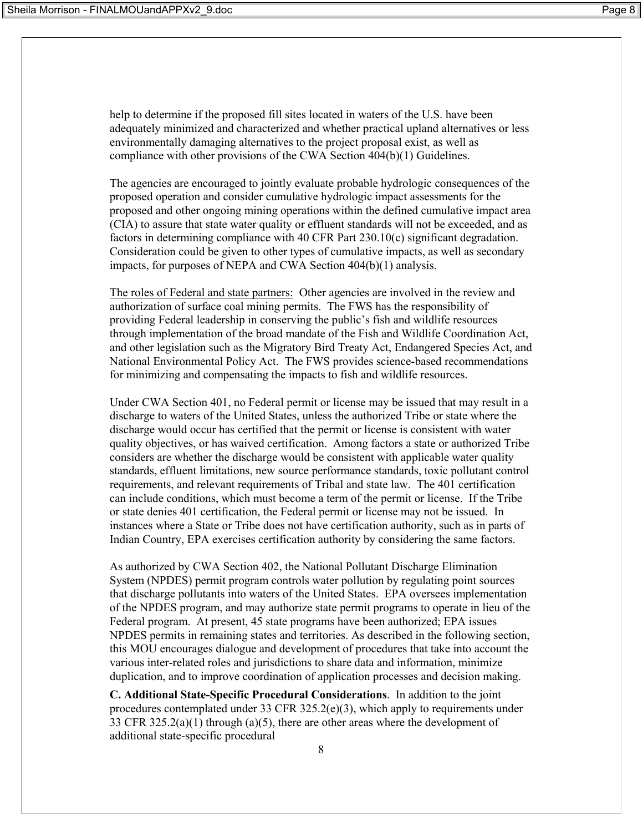help to determine if the proposed fill sites located in waters of the U.S. have been adequately minimized and characterized and whether practical upland alternatives or less environmentally damaging alternatives to the project proposal exist, as well as compliance with other provisions of the CWA Section 404(b)(1) Guidelines.

The agencies are encouraged to jointly evaluate probable hydrologic consequences of the proposed operation and consider cumulative hydrologic impact assessments for the proposed and other ongoing mining operations within the defined cumulative impact area (CIA) to assure that state water quality or effluent standards will not be exceeded, and as factors in determining compliance with 40 CFR Part 230.10(c) significant degradation. Consideration could be given to other types of cumulative impacts, as well as secondary impacts, for purposes of NEPA and CWA Section 404(b)(1) analysis.

The roles of Federal and state partners: Other agencies are involved in the review and authorization of surface coal mining permits. The FWS has the responsibility of providing Federal leadership in conserving the public's fish and wildlife resources through implementation of the broad mandate of the Fish and Wildlife Coordination Act, and other legislation such as the Migratory Bird Treaty Act, Endangered Species Act, and National Environmental Policy Act. The FWS provides science-based recommendations for minimizing and compensating the impacts to fish and wildlife resources.

Under CWA Section 401, no Federal permit or license may be issued that may result in a discharge to waters of the United States, unless the authorized Tribe or state where the discharge would occur has certified that the permit or license is consistent with water quality objectives, or has waived certification. Among factors a state or authorized Tribe considers are whether the discharge would be consistent with applicable water quality standards, effluent limitations, new source performance standards, toxic pollutant control requirements, and relevant requirements of Tribal and state law. The 401 certification can include conditions, which must become a term of the permit or license. If the Tribe or state denies 401 certification, the Federal permit or license may not be issued. In instances where a State or Tribe does not have certification authority, such as in parts of Indian Country, EPA exercises certification authority by considering the same factors.

As authorized by CWA Section 402, the National Pollutant Discharge Elimination System (NPDES) permit program controls water pollution by regulating point sources that discharge pollutants into waters of the United States. EPA oversees implementation of the NPDES program, and may authorize state permit programs to operate in lieu of the Federal program. At present, 45 state programs have been authorized; EPA issues NPDES permits in remaining states and territories. As described in the following section, this MOU encourages dialogue and development of procedures that take into account the various inter-related roles and jurisdictions to share data and information, minimize duplication, and to improve coordination of application processes and decision making.

**C. Additional State-Specific Procedural Considerations**. In addition to the joint procedures contemplated under 33 CFR 325.2(e)(3), which apply to requirements under 33 CFR 325.2(a)(1) through (a)(5), there are other areas where the development of additional state-specific procedural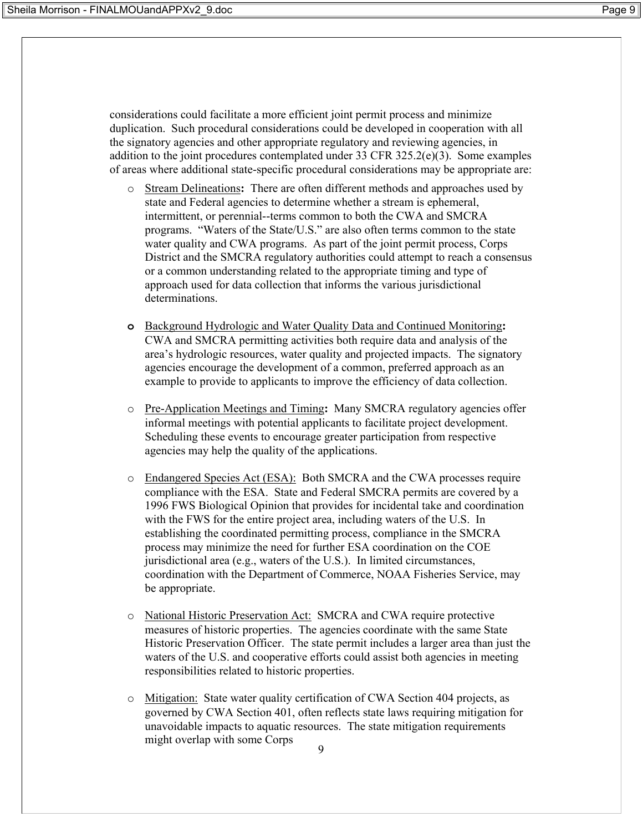considerations could facilitate a more efficient joint permit process and minimize duplication. Such procedural considerations could be developed in cooperation with all the signatory agencies and other appropriate regulatory and reviewing agencies, in addition to the joint procedures contemplated under 33 CFR 325.2(e)(3). Some examples of areas where additional state-specific procedural considerations may be appropriate are:

- o Stream Delineations**:** There are often different methods and approaches used by state and Federal agencies to determine whether a stream is ephemeral, intermittent, or perennial--terms common to both the CWA and SMCRA programs. "Waters of the State/U.S." are also often terms common to the state water quality and CWA programs. As part of the joint permit process, Corps District and the SMCRA regulatory authorities could attempt to reach a consensus or a common understanding related to the appropriate timing and type of approach used for data collection that informs the various jurisdictional determinations.
- **o** Background Hydrologic and Water Quality Data and Continued Monitoring**:**  CWA and SMCRA permitting activities both require data and analysis of the area's hydrologic resources, water quality and projected impacts. The signatory agencies encourage the development of a common, preferred approach as an example to provide to applicants to improve the efficiency of data collection.
- o Pre-Application Meetings and Timing**:** Many SMCRA regulatory agencies offer informal meetings with potential applicants to facilitate project development. Scheduling these events to encourage greater participation from respective agencies may help the quality of the applications.
- o Endangered Species Act (ESA): Both SMCRA and the CWA processes require compliance with the ESA. State and Federal SMCRA permits are covered by a 1996 FWS Biological Opinion that provides for incidental take and coordination with the FWS for the entire project area, including waters of the U.S. In establishing the coordinated permitting process, compliance in the SMCRA process may minimize the need for further ESA coordination on the COE jurisdictional area (e.g., waters of the U.S.). In limited circumstances, coordination with the Department of Commerce, NOAA Fisheries Service, may be appropriate.
- o National Historic Preservation Act: SMCRA and CWA require protective measures of historic properties. The agencies coordinate with the same State Historic Preservation Officer. The state permit includes a larger area than just the waters of the U.S. and cooperative efforts could assist both agencies in meeting responsibilities related to historic properties.
- $\overline{Q}$ o Mitigation: State water quality certification of CWA Section 404 projects, as governed by CWA Section 401, often reflects state laws requiring mitigation for unavoidable impacts to aquatic resources. The state mitigation requirements might overlap with some Corps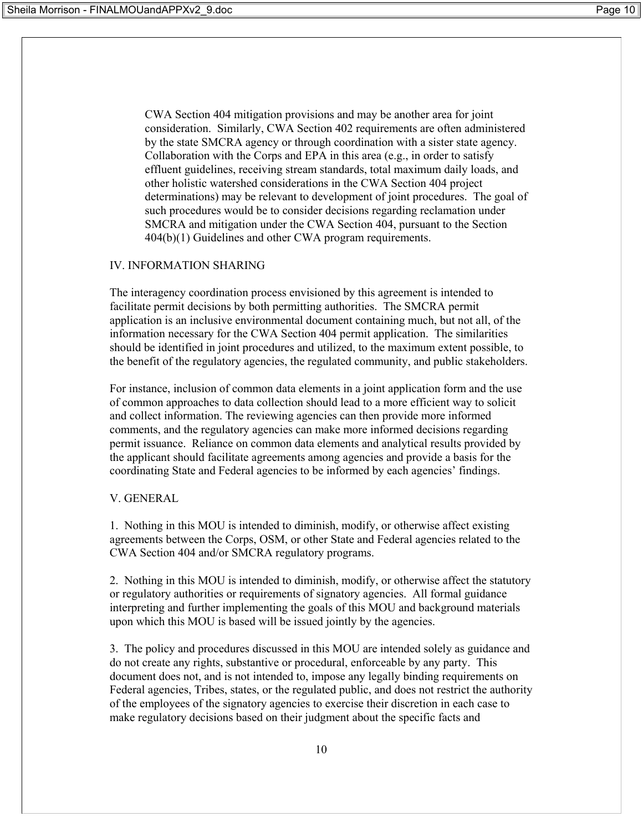CWA Section 404 mitigation provisions and may be another area for joint consideration. Similarly, CWA Section 402 requirements are often administered by the state SMCRA agency or through coordination with a sister state agency. Collaboration with the Corps and EPA in this area (e.g., in order to satisfy effluent guidelines, receiving stream standards, total maximum daily loads, and other holistic watershed considerations in the CWA Section 404 project determinations) may be relevant to development of joint procedures. The goal of such procedures would be to consider decisions regarding reclamation under SMCRA and mitigation under the CWA Section 404, pursuant to the Section 404(b)(1) Guidelines and other CWA program requirements.

## IV. INFORMATION SHARING

The interagency coordination process envisioned by this agreement is intended to facilitate permit decisions by both permitting authorities. The SMCRA permit application is an inclusive environmental document containing much, but not all, of the information necessary for the CWA Section 404 permit application. The similarities should be identified in joint procedures and utilized, to the maximum extent possible, to the benefit of the regulatory agencies, the regulated community, and public stakeholders.

For instance, inclusion of common data elements in a joint application form and the use of common approaches to data collection should lead to a more efficient way to solicit and collect information. The reviewing agencies can then provide more informed comments, and the regulatory agencies can make more informed decisions regarding permit issuance. Reliance on common data elements and analytical results provided by the applicant should facilitate agreements among agencies and provide a basis for the coordinating State and Federal agencies to be informed by each agencies' findings.

## V. GENERAL

1. Nothing in this MOU is intended to diminish, modify, or otherwise affect existing agreements between the Corps, OSM, or other State and Federal agencies related to the CWA Section 404 and/or SMCRA regulatory programs.

2. Nothing in this MOU is intended to diminish, modify, or otherwise affect the statutory or regulatory authorities or requirements of signatory agencies. All formal guidance interpreting and further implementing the goals of this MOU and background materials upon which this MOU is based will be issued jointly by the agencies.

3. The policy and procedures discussed in this MOU are intended solely as guidance and do not create any rights, substantive or procedural, enforceable by any party. This document does not, and is not intended to, impose any legally binding requirements on Federal agencies, Tribes, states, or the regulated public, and does not restrict the authority of the employees of the signatory agencies to exercise their discretion in each case to make regulatory decisions based on their judgment about the specific facts and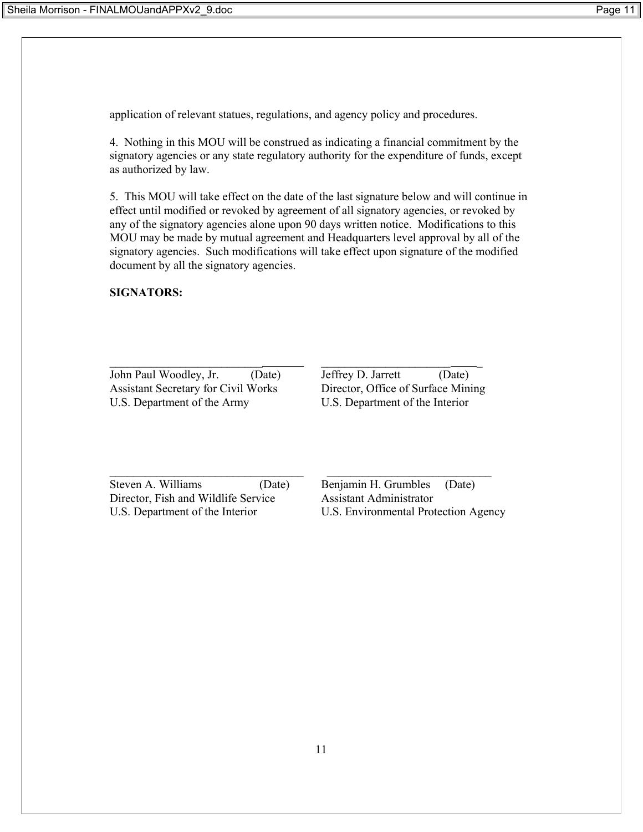application of relevant statues, regulations, and agency policy and procedures.

4. Nothing in this MOU will be construed as indicating a financial commitment by the signatory agencies or any state regulatory authority for the expenditure of funds, except as authorized by law.

5. This MOU will take effect on the date of the last signature below and will continue in effect until modified or revoked by agreement of all signatory agencies, or revoked by any of the signatory agencies alone upon 90 days written notice. Modifications to this MOU may be made by mutual agreement and Headquarters level approval by all of the signatory agencies. Such modifications will take effect upon signature of the modified document by all the signatory agencies.

 $\mathcal{L}_\text{max}$  and the contract of the contract of the contract of the contract of the contract of the contract of

## **SIGNATORS:**

John Paul Woodley, Jr. (Date) Jeffrey D. Jarrett (Date) Assistant Secretary for Civil Works Director, Office of Surface Mining U.S. Department of the Army U.S. Department of the Interior

 $\mathcal{L}_\text{max} = \mathcal{L}_\text{max} = \mathcal{L}_\text{max} = \mathcal{L}_\text{max} = \mathcal{L}_\text{max} = \mathcal{L}_\text{max} = \mathcal{L}_\text{max} = \mathcal{L}_\text{max} = \mathcal{L}_\text{max} = \mathcal{L}_\text{max} = \mathcal{L}_\text{max} = \mathcal{L}_\text{max} = \mathcal{L}_\text{max} = \mathcal{L}_\text{max} = \mathcal{L}_\text{max} = \mathcal{L}_\text{max} = \mathcal{L}_\text{max} = \mathcal{L}_\text{max} = \mathcal{$ 

Steven A. Williams (Date) Benjamin H. Grumbles (Date) Director, Fish and Wildlife Service Assistant Administrator U.S. Department of the Interior U.S. Environmental Protection Agency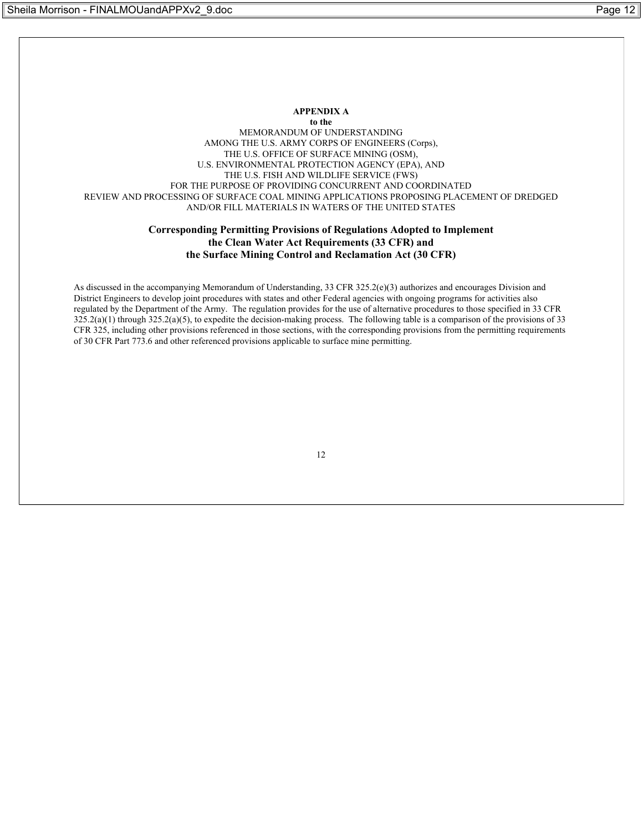#### **APPENDIX A to the** MEMORANDUM OF UNDERSTANDING AMONG THE U.S. ARMY CORPS OF ENGINEERS (Corps), THE U.S. OFFICE OF SURFACE MINING (OSM), U.S. ENVIRONMENTAL PROTECTION AGENCY (EPA), AND THE U.S. FISH AND WILDLIFE SERVICE (FWS) FOR THE PURPOSE OF PROVIDING CONCURRENT AND COORDINATED REVIEW AND PROCESSING OF SURFACE COAL MINING APPLICATIONS PROPOSING PLACEMENT OF DREDGED AND/OR FILL MATERIALS IN WATERS OF THE UNITED STATES

#### **Corresponding Permitting Provisions of Regulations Adopted to Implement the Clean Water Act Requirements (33 CFR) and the Surface Mining Control and Reclamation Act (30 CFR)**

As discussed in the accompanying Memorandum of Understanding, 33 CFR 325.2(e)(3) authorizes and encourages Division and District Engineers to develop joint procedures with states and other Federal agencies with ongoing programs for activities also regulated by the Department of the Army. The regulation provides for the use of alternative procedures to those specified in 33 CFR  $325.2(a)(1)$  through  $325.2(a)(5)$ , to expedite the decision-making process. The following table is a comparison of the provisions of 33 CFR 325, including other provisions referenced in those sections, with the corresponding provisions from the permitting requirements of 30 CFR Part 773.6 and other referenced provisions applicable to surface mine permitting.

12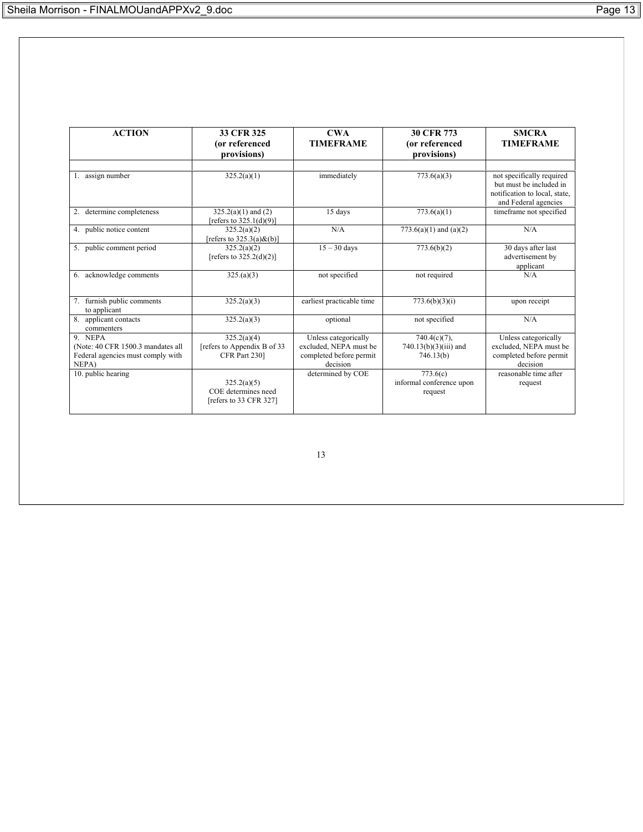| <b>ACTION</b>                                                                  | 33 CFR 325                                                   | $\bf CWA$                                                     | <b>30 CFR 773</b>                               | <b>SMCRA</b>                                                                                                  |
|--------------------------------------------------------------------------------|--------------------------------------------------------------|---------------------------------------------------------------|-------------------------------------------------|---------------------------------------------------------------------------------------------------------------|
|                                                                                | (or referenced<br>provisions)                                | <b>TIMEFRAME</b>                                              | (or referenced<br>provisions)                   | <b>TIMEFRAME</b>                                                                                              |
|                                                                                |                                                              |                                                               |                                                 |                                                                                                               |
| 1. assign number                                                               | 325.2(a)(1)                                                  | immediately                                                   | 773.6(a)(3)                                     | not specifically required<br>but must be included in<br>notification to local, state,<br>and Federal agencies |
| determine completeness<br>2.                                                   | $325.2(a)(1)$ and $(2)$<br>[refers to $325.1(d)(9)$ ]        | 15 days                                                       | 773.6(a)(1)                                     | timeframe not specified                                                                                       |
| 4. public notice content                                                       | 325.2(a)(2)<br>[refers to $325.3(a)$ &(b)]                   | N/A                                                           | $773.6(a)(1)$ and $(a)(2)$                      | N/A                                                                                                           |
| 5. public comment period                                                       | 325.2(a)(2)<br>[refers to $325.2(d)(2)$ ]                    | $15 - 30$ days                                                | 773.6(b)(2)                                     | 30 days after last<br>advertisement by<br>applicant                                                           |
| acknowledge comments<br>6.                                                     | 325.(a)(3)                                                   | not specified                                                 | not required                                    | N/A                                                                                                           |
| furnish public comments<br>to applicant                                        | 325.2(a)(3)                                                  | earliest practicable time                                     | 773.6(b)(3)(i)                                  | upon receipt                                                                                                  |
| applicant contacts<br>commenters                                               | 325.2(a)(3)                                                  | optional                                                      | not specified                                   | N/A                                                                                                           |
| 9. NEPA                                                                        | 325.2(a)(4)                                                  | Unless categorically                                          | $740.4(c)(7)$ ,                                 | Unless categorically                                                                                          |
| (Note: 40 CFR 1500.3 mandates all<br>Federal agencies must comply with<br>NEPA | [refers to Appendix B of 33<br>CFR Part 230]                 | excluded, NEPA must be<br>completed before permit<br>decision | $740.13(b)(3)(iii)$ and<br>746.13(b)            | excluded, NEPA must be<br>completed before permit<br>decision                                                 |
| 10. public hearing                                                             | 325.2(a)(5)<br>COE determines need<br>[refers to 33 CFR 327] | determined by COE                                             | 773.6(c)<br>informal conference upon<br>request | reasonable time after<br>request                                                                              |

13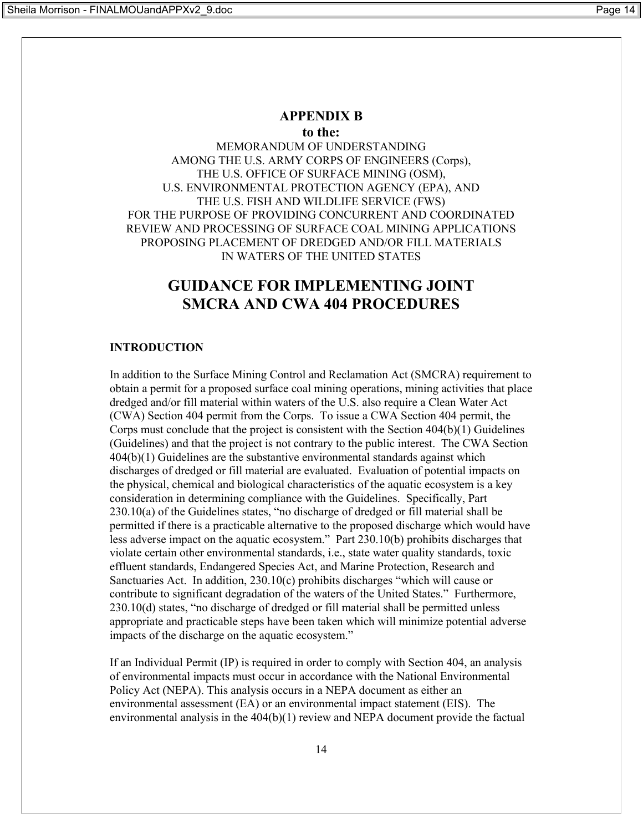## **APPENDIX B**

**to the:**

MEMORANDUM OF UNDERSTANDING AMONG THE U.S. ARMY CORPS OF ENGINEERS (Corps), THE U.S. OFFICE OF SURFACE MINING (OSM), U.S. ENVIRONMENTAL PROTECTION AGENCY (EPA), AND THE U.S. FISH AND WILDLIFE SERVICE (FWS) FOR THE PURPOSE OF PROVIDING CONCURRENT AND COORDINATED REVIEW AND PROCESSING OF SURFACE COAL MINING APPLICATIONS PROPOSING PLACEMENT OF DREDGED AND/OR FILL MATERIALS IN WATERS OF THE UNITED STATES

# **GUIDANCE FOR IMPLEMENTING JOINT SMCRA AND CWA 404 PROCEDURES**

#### **INTRODUCTION**

In addition to the Surface Mining Control and Reclamation Act (SMCRA) requirement to obtain a permit for a proposed surface coal mining operations, mining activities that place dredged and/or fill material within waters of the U.S. also require a Clean Water Act (CWA) Section 404 permit from the Corps. To issue a CWA Section 404 permit, the Corps must conclude that the project is consistent with the Section  $404(b)(1)$  Guidelines (Guidelines) and that the project is not contrary to the public interest. The CWA Section 404(b)(1) Guidelines are the substantive environmental standards against which discharges of dredged or fill material are evaluated. Evaluation of potential impacts on the physical, chemical and biological characteristics of the aquatic ecosystem is a key consideration in determining compliance with the Guidelines. Specifically, Part 230.10(a) of the Guidelines states, "no discharge of dredged or fill material shall be permitted if there is a practicable alternative to the proposed discharge which would have less adverse impact on the aquatic ecosystem." Part 230.10(b) prohibits discharges that violate certain other environmental standards, i.e., state water quality standards, toxic effluent standards, Endangered Species Act, and Marine Protection, Research and Sanctuaries Act. In addition, 230.10(c) prohibits discharges "which will cause or contribute to significant degradation of the waters of the United States." Furthermore, 230.10(d) states, "no discharge of dredged or fill material shall be permitted unless appropriate and practicable steps have been taken which will minimize potential adverse impacts of the discharge on the aquatic ecosystem."

If an Individual Permit (IP) is required in order to comply with Section 404, an analysis of environmental impacts must occur in accordance with the National Environmental Policy Act (NEPA). This analysis occurs in a NEPA document as either an environmental assessment (EA) or an environmental impact statement (EIS). The environmental analysis in the 404(b)(1) review and NEPA document provide the factual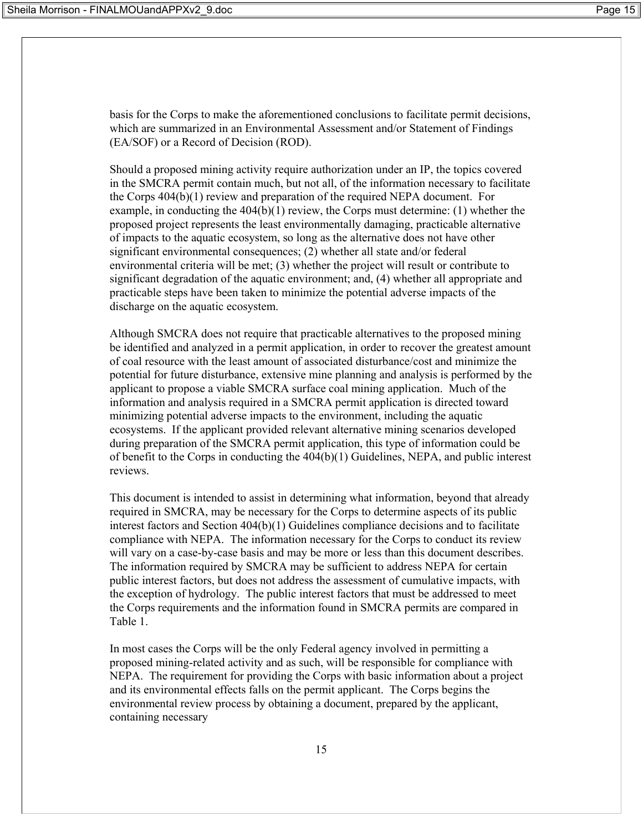basis for the Corps to make the aforementioned conclusions to facilitate permit decisions, which are summarized in an Environmental Assessment and/or Statement of Findings (EA/SOF) or a Record of Decision (ROD).

Should a proposed mining activity require authorization under an IP, the topics covered in the SMCRA permit contain much, but not all, of the information necessary to facilitate the Corps 404(b)(1) review and preparation of the required NEPA document. For example, in conducting the 404(b)(1) review, the Corps must determine: (1) whether the proposed project represents the least environmentally damaging, practicable alternative of impacts to the aquatic ecosystem, so long as the alternative does not have other significant environmental consequences; (2) whether all state and/or federal environmental criteria will be met; (3) whether the project will result or contribute to significant degradation of the aquatic environment; and, (4) whether all appropriate and practicable steps have been taken to minimize the potential adverse impacts of the discharge on the aquatic ecosystem.

Although SMCRA does not require that practicable alternatives to the proposed mining be identified and analyzed in a permit application, in order to recover the greatest amount of coal resource with the least amount of associated disturbance/cost and minimize the potential for future disturbance, extensive mine planning and analysis is performed by the applicant to propose a viable SMCRA surface coal mining application. Much of the information and analysis required in a SMCRA permit application is directed toward minimizing potential adverse impacts to the environment, including the aquatic ecosystems. If the applicant provided relevant alternative mining scenarios developed during preparation of the SMCRA permit application, this type of information could be of benefit to the Corps in conducting the 404(b)(1) Guidelines, NEPA, and public interest reviews.

This document is intended to assist in determining what information, beyond that already required in SMCRA, may be necessary for the Corps to determine aspects of its public interest factors and Section 404(b)(1) Guidelines compliance decisions and to facilitate compliance with NEPA. The information necessary for the Corps to conduct its review will vary on a case-by-case basis and may be more or less than this document describes. The information required by SMCRA may be sufficient to address NEPA for certain public interest factors, but does not address the assessment of cumulative impacts, with the exception of hydrology. The public interest factors that must be addressed to meet the Corps requirements and the information found in SMCRA permits are compared in Table 1.

In most cases the Corps will be the only Federal agency involved in permitting a proposed mining-related activity and as such, will be responsible for compliance with NEPA. The requirement for providing the Corps with basic information about a project and its environmental effects falls on the permit applicant. The Corps begins the environmental review process by obtaining a document, prepared by the applicant, containing necessary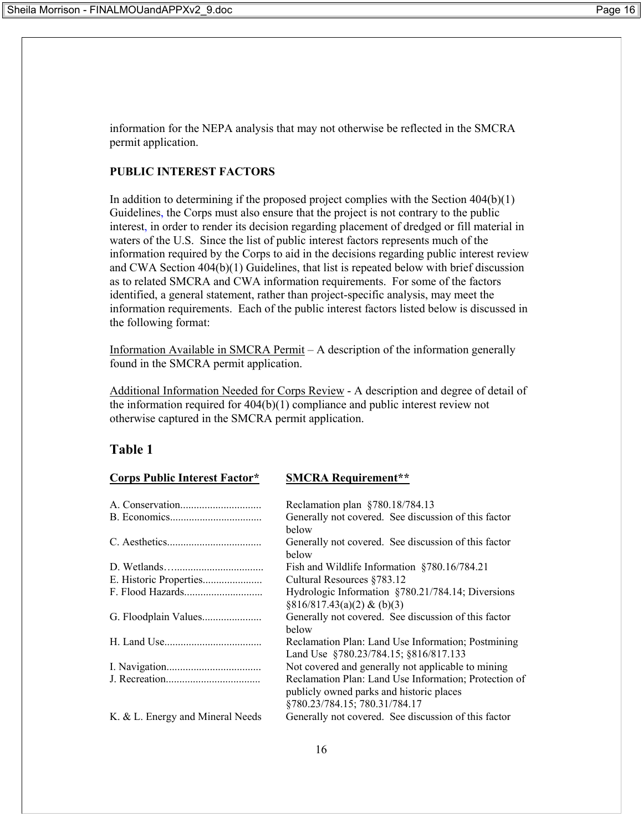information for the NEPA analysis that may not otherwise be reflected in the SMCRA permit application.

## **PUBLIC INTEREST FACTORS**

In addition to determining if the proposed project complies with the Section 404(b)(1) Guidelines, the Corps must also ensure that the project is not contrary to the public interest, in order to render its decision regarding placement of dredged or fill material in waters of the U.S. Since the list of public interest factors represents much of the information required by the Corps to aid in the decisions regarding public interest review and CWA Section 404(b)(1) Guidelines, that list is repeated below with brief discussion as to related SMCRA and CWA information requirements. For some of the factors identified, a general statement, rather than project-specific analysis, may meet the information requirements. Each of the public interest factors listed below is discussed in the following format:

Information Available in SMCRA Permit – A description of the information generally found in the SMCRA permit application.

Additional Information Needed for Corps Review - A description and degree of detail of the information required for 404(b)(1) compliance and public interest review not otherwise captured in the SMCRA permit application.

## **Table 1**

| <b>Corps Public Interest Factor*</b> | <b>SMCRA Requirement**</b>                                                                                                         |  |
|--------------------------------------|------------------------------------------------------------------------------------------------------------------------------------|--|
|                                      | Reclamation plan §780.18/784.13                                                                                                    |  |
|                                      | Generally not covered. See discussion of this factor<br>below                                                                      |  |
|                                      | Generally not covered. See discussion of this factor<br>below                                                                      |  |
|                                      | Fish and Wildlife Information §780.16/784.21                                                                                       |  |
|                                      | Cultural Resources §783.12                                                                                                         |  |
|                                      | Hydrologic Information §780.21/784.14; Diversions<br>$\S816/817.43(a)(2) & (b)(3)$                                                 |  |
|                                      | Generally not covered. See discussion of this factor<br>below                                                                      |  |
|                                      | Reclamation Plan: Land Use Information; Postmining<br>Land Use §780.23/784.15; §816/817.133                                        |  |
|                                      | Not covered and generally not applicable to mining                                                                                 |  |
|                                      | Reclamation Plan: Land Use Information; Protection of<br>publicly owned parks and historic places<br>§780.23/784.15; 780.31/784.17 |  |
| K. & L. Energy and Mineral Needs     | Generally not covered. See discussion of this factor                                                                               |  |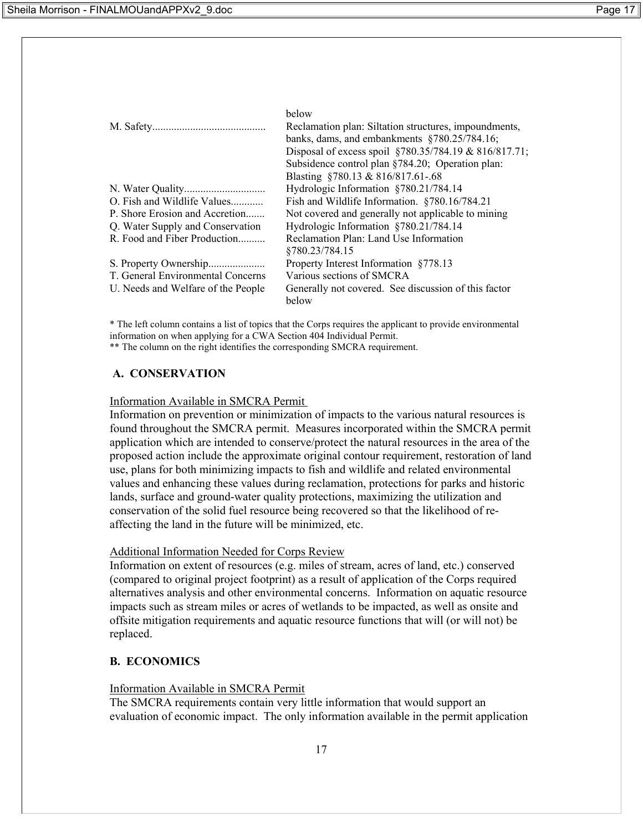|                                    | below<br>Reclamation plan: Siltation structures, impoundments,<br>banks, dams, and embankments $$780.25/784.16$ ;<br>Disposal of excess spoil §780.35/784.19 & 816/817.71;<br>Subsidence control plan §784.20; Operation plan:<br>Blasting §780.13 & 816/817.61-.68 |
|------------------------------------|---------------------------------------------------------------------------------------------------------------------------------------------------------------------------------------------------------------------------------------------------------------------|
|                                    | Hydrologic Information §780.21/784.14                                                                                                                                                                                                                               |
| O. Fish and Wildlife Values        | Fish and Wildlife Information. §780.16/784.21                                                                                                                                                                                                                       |
| P. Shore Erosion and Accretion     | Not covered and generally not applicable to mining                                                                                                                                                                                                                  |
| Q. Water Supply and Conservation   | Hydrologic Information §780.21/784.14                                                                                                                                                                                                                               |
| R. Food and Fiber Production       | Reclamation Plan: Land Use Information                                                                                                                                                                                                                              |
|                                    | §780.23/784.15                                                                                                                                                                                                                                                      |
|                                    | Property Interest Information §778.13                                                                                                                                                                                                                               |
| T. General Environmental Concerns  | Various sections of SMCRA                                                                                                                                                                                                                                           |
| U. Needs and Welfare of the People | Generally not covered. See discussion of this factor                                                                                                                                                                                                                |
|                                    | below                                                                                                                                                                                                                                                               |

\* The left column contains a list of topics that the Corps requires the applicant to provide environmental information on when applying for a CWA Section 404 Individual Permit. \*\* The column on the right identifies the corresponding SMCRA requirement.

#### **A. CONSERVATION**

#### Information Available in SMCRA Permit

Information on prevention or minimization of impacts to the various natural resources is found throughout the SMCRA permit. Measures incorporated within the SMCRA permit application which are intended to conserve/protect the natural resources in the area of the proposed action include the approximate original contour requirement, restoration of land use, plans for both minimizing impacts to fish and wildlife and related environmental values and enhancing these values during reclamation, protections for parks and historic lands, surface and ground-water quality protections, maximizing the utilization and conservation of the solid fuel resource being recovered so that the likelihood of reaffecting the land in the future will be minimized, etc.

#### Additional Information Needed for Corps Review

Information on extent of resources (e.g. miles of stream, acres of land, etc.) conserved (compared to original project footprint) as a result of application of the Corps required alternatives analysis and other environmental concerns. Information on aquatic resource impacts such as stream miles or acres of wetlands to be impacted, as well as onsite and offsite mitigation requirements and aquatic resource functions that will (or will not) be replaced.

#### **B. ECONOMICS**

#### Information Available in SMCRA Permit

The SMCRA requirements contain very little information that would support an evaluation of economic impact. The only information available in the permit application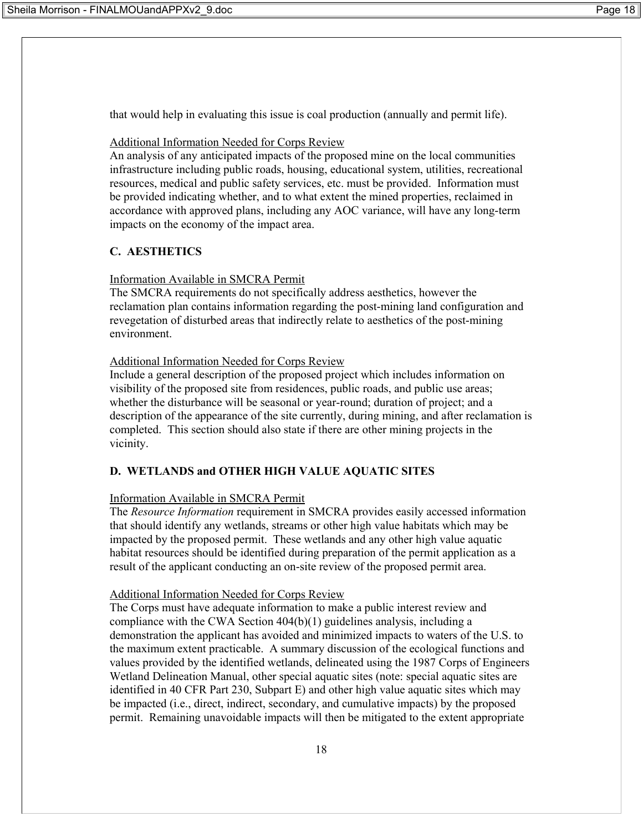that would help in evaluating this issue is coal production (annually and permit life).

## Additional Information Needed for Corps Review

An analysis of any anticipated impacts of the proposed mine on the local communities infrastructure including public roads, housing, educational system, utilities, recreational resources, medical and public safety services, etc. must be provided. Information must be provided indicating whether, and to what extent the mined properties, reclaimed in accordance with approved plans, including any AOC variance, will have any long-term impacts on the economy of the impact area.

# **C. AESTHETICS**

## Information Available in SMCRA Permit

The SMCRA requirements do not specifically address aesthetics, however the reclamation plan contains information regarding the post-mining land configuration and revegetation of disturbed areas that indirectly relate to aesthetics of the post-mining environment.

## Additional Information Needed for Corps Review

Include a general description of the proposed project which includes information on visibility of the proposed site from residences, public roads, and public use areas; whether the disturbance will be seasonal or year-round; duration of project; and a description of the appearance of the site currently, during mining, and after reclamation is completed. This section should also state if there are other mining projects in the vicinity.

# **D. WETLANDS and OTHER HIGH VALUE AQUATIC SITES**

## Information Available in SMCRA Permit

The *Resource Information* requirement in SMCRA provides easily accessed information that should identify any wetlands, streams or other high value habitats which may be impacted by the proposed permit. These wetlands and any other high value aquatic habitat resources should be identified during preparation of the permit application as a result of the applicant conducting an on-site review of the proposed permit area.

## Additional Information Needed for Corps Review

The Corps must have adequate information to make a public interest review and compliance with the CWA Section 404(b)(1) guidelines analysis, including a demonstration the applicant has avoided and minimized impacts to waters of the U.S. to the maximum extent practicable. A summary discussion of the ecological functions and values provided by the identified wetlands, delineated using the 1987 Corps of Engineers Wetland Delineation Manual, other special aquatic sites (note: special aquatic sites are identified in 40 CFR Part 230, Subpart E) and other high value aquatic sites which may be impacted (i.e., direct, indirect, secondary, and cumulative impacts) by the proposed permit. Remaining unavoidable impacts will then be mitigated to the extent appropriate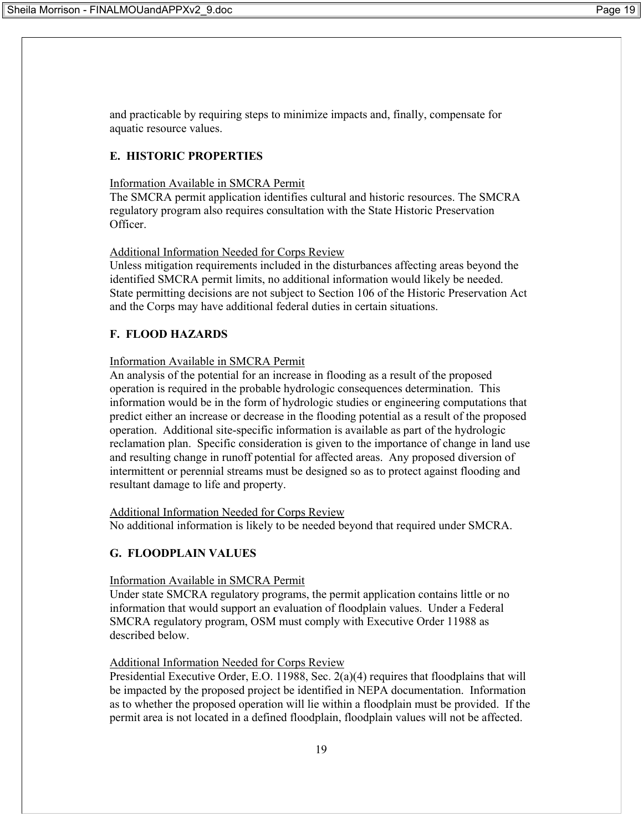and practicable by requiring steps to minimize impacts and, finally, compensate for aquatic resource values.

# **E. HISTORIC PROPERTIES**

## Information Available in SMCRA Permit

The SMCRA permit application identifies cultural and historic resources. The SMCRA regulatory program also requires consultation with the State Historic Preservation **Officer** 

## Additional Information Needed for Corps Review

Unless mitigation requirements included in the disturbances affecting areas beyond the identified SMCRA permit limits, no additional information would likely be needed. State permitting decisions are not subject to Section 106 of the Historic Preservation Act and the Corps may have additional federal duties in certain situations.

# **F. FLOOD HAZARDS**

## Information Available in SMCRA Permit

An analysis of the potential for an increase in flooding as a result of the proposed operation is required in the probable hydrologic consequences determination. This information would be in the form of hydrologic studies or engineering computations that predict either an increase or decrease in the flooding potential as a result of the proposed operation. Additional site-specific information is available as part of the hydrologic reclamation plan. Specific consideration is given to the importance of change in land use and resulting change in runoff potential for affected areas. Any proposed diversion of intermittent or perennial streams must be designed so as to protect against flooding and resultant damage to life and property.

## Additional Information Needed for Corps Review

No additional information is likely to be needed beyond that required under SMCRA.

# **G. FLOODPLAIN VALUES**

## Information Available in SMCRA Permit

Under state SMCRA regulatory programs, the permit application contains little or no information that would support an evaluation of floodplain values. Under a Federal SMCRA regulatory program, OSM must comply with Executive Order 11988 as described below.

## Additional Information Needed for Corps Review

Presidential Executive Order, E.O. 11988, Sec. 2(a)(4) requires that floodplains that will be impacted by the proposed project be identified in NEPA documentation. Information as to whether the proposed operation will lie within a floodplain must be provided. If the permit area is not located in a defined floodplain, floodplain values will not be affected.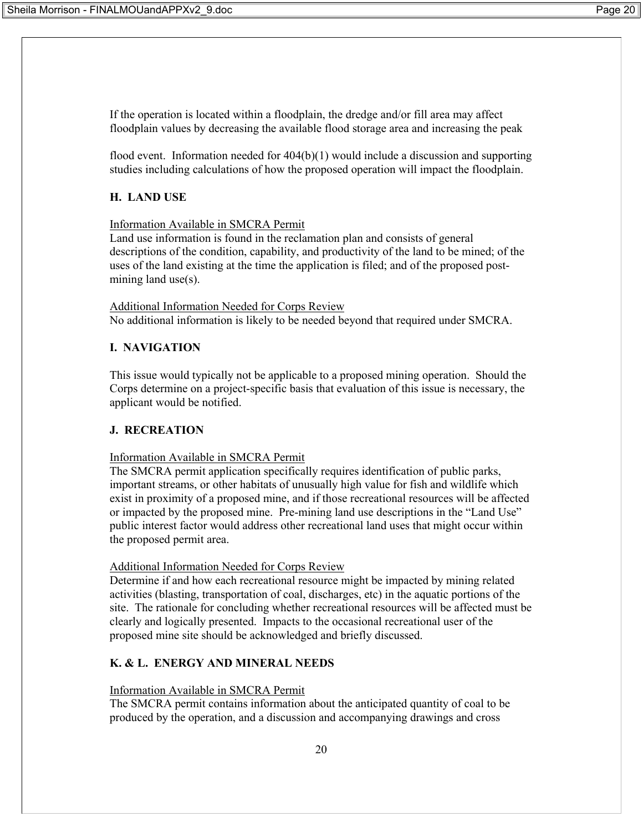If the operation is located within a floodplain, the dredge and/or fill area may affect floodplain values by decreasing the available flood storage area and increasing the peak

flood event. Information needed for 404(b)(1) would include a discussion and supporting studies including calculations of how the proposed operation will impact the floodplain.

#### **H. LAND USE**

#### Information Available in SMCRA Permit

Land use information is found in the reclamation plan and consists of general descriptions of the condition, capability, and productivity of the land to be mined; of the uses of the land existing at the time the application is filed; and of the proposed postmining land use(s).

Additional Information Needed for Corps Review No additional information is likely to be needed beyond that required under SMCRA.

#### **I. NAVIGATION**

This issue would typically not be applicable to a proposed mining operation. Should the Corps determine on a project-specific basis that evaluation of this issue is necessary, the applicant would be notified.

#### **J. RECREATION**

#### Information Available in SMCRA Permit

The SMCRA permit application specifically requires identification of public parks, important streams, or other habitats of unusually high value for fish and wildlife which exist in proximity of a proposed mine, and if those recreational resources will be affected or impacted by the proposed mine. Pre-mining land use descriptions in the "Land Use" public interest factor would address other recreational land uses that might occur within the proposed permit area.

#### Additional Information Needed for Corps Review

Determine if and how each recreational resource might be impacted by mining related activities (blasting, transportation of coal, discharges, etc) in the aquatic portions of the site. The rationale for concluding whether recreational resources will be affected must be clearly and logically presented. Impacts to the occasional recreational user of the proposed mine site should be acknowledged and briefly discussed.

#### **K. & L. ENERGY AND MINERAL NEEDS**

#### Information Available in SMCRA Permit

The SMCRA permit contains information about the anticipated quantity of coal to be produced by the operation, and a discussion and accompanying drawings and cross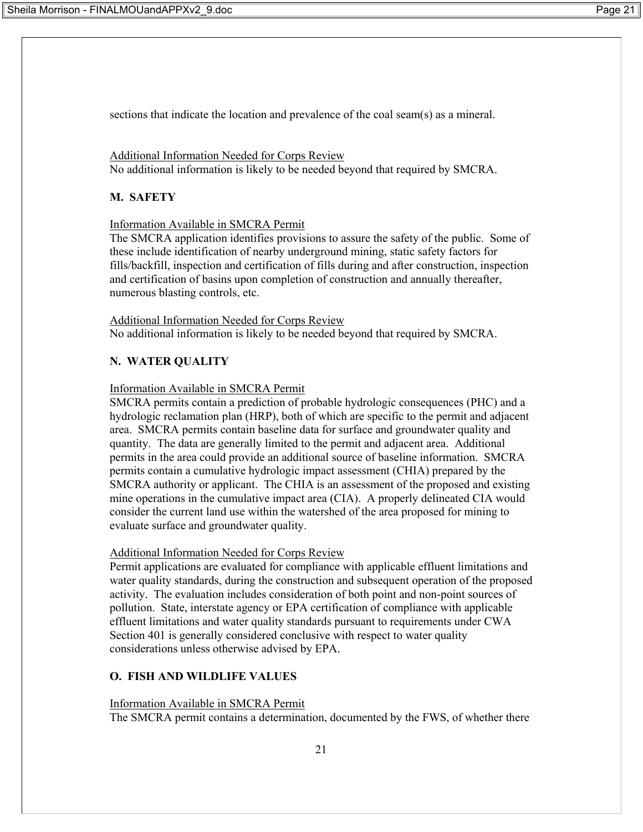sections that indicate the location and prevalence of the coal seam(s) as a mineral.

Additional Information Needed for Corps Review No additional information is likely to be needed beyond that required by SMCRA.

## **M. SAFETY**

Information Available in SMCRA Permit

The SMCRA application identifies provisions to assure the safety of the public. Some of these include identification of nearby underground mining, static safety factors for fills/backfill, inspection and certification of fills during and after construction, inspection and certification of basins upon completion of construction and annually thereafter, numerous blasting controls, etc.

Additional Information Needed for Corps Review No additional information is likely to be needed beyond that required by SMCRA.

# **N. WATER QUALITY**

## Information Available in SMCRA Permit

SMCRA permits contain a prediction of probable hydrologic consequences (PHC) and a hydrologic reclamation plan (HRP), both of which are specific to the permit and adjacent area. SMCRA permits contain baseline data for surface and groundwater quality and quantity. The data are generally limited to the permit and adjacent area. Additional permits in the area could provide an additional source of baseline information. SMCRA permits contain a cumulative hydrologic impact assessment (CHIA) prepared by the SMCRA authority or applicant. The CHIA is an assessment of the proposed and existing mine operations in the cumulative impact area (CIA). A properly delineated CIA would consider the current land use within the watershed of the area proposed for mining to evaluate surface and groundwater quality.

## Additional Information Needed for Corps Review

Permit applications are evaluated for compliance with applicable effluent limitations and water quality standards, during the construction and subsequent operation of the proposed activity. The evaluation includes consideration of both point and non-point sources of pollution. State, interstate agency or EPA certification of compliance with applicable effluent limitations and water quality standards pursuant to requirements under CWA Section 401 is generally considered conclusive with respect to water quality considerations unless otherwise advised by EPA.

# **O. FISH AND WILDLIFE VALUES**

## Information Available in SMCRA Permit

The SMCRA permit contains a determination, documented by the FWS, of whether there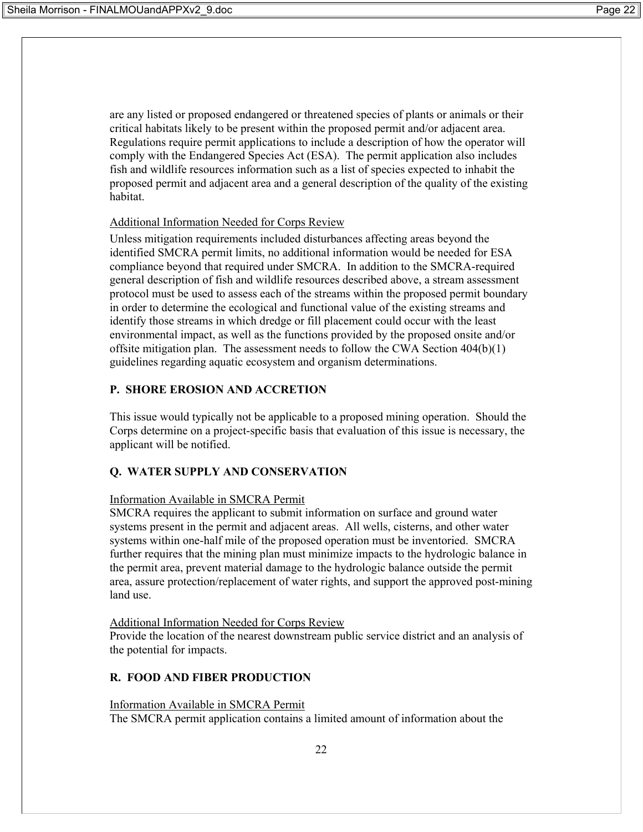are any listed or proposed endangered or threatened species of plants or animals or their critical habitats likely to be present within the proposed permit and/or adjacent area. Regulations require permit applications to include a description of how the operator will comply with the Endangered Species Act (ESA). The permit application also includes fish and wildlife resources information such as a list of species expected to inhabit the proposed permit and adjacent area and a general description of the quality of the existing habitat.

## Additional Information Needed for Corps Review

Unless mitigation requirements included disturbances affecting areas beyond the identified SMCRA permit limits, no additional information would be needed for ESA compliance beyond that required under SMCRA. In addition to the SMCRA-required general description of fish and wildlife resources described above, a stream assessment protocol must be used to assess each of the streams within the proposed permit boundary in order to determine the ecological and functional value of the existing streams and identify those streams in which dredge or fill placement could occur with the least environmental impact, as well as the functions provided by the proposed onsite and/or offsite mitigation plan. The assessment needs to follow the CWA Section 404(b)(1) guidelines regarding aquatic ecosystem and organism determinations.

## **P. SHORE EROSION AND ACCRETION**

This issue would typically not be applicable to a proposed mining operation. Should the Corps determine on a project-specific basis that evaluation of this issue is necessary, the applicant will be notified.

# **Q. WATER SUPPLY AND CONSERVATION**

## Information Available in SMCRA Permit

SMCRA requires the applicant to submit information on surface and ground water systems present in the permit and adjacent areas. All wells, cisterns, and other water systems within one-half mile of the proposed operation must be inventoried. SMCRA further requires that the mining plan must minimize impacts to the hydrologic balance in the permit area, prevent material damage to the hydrologic balance outside the permit area, assure protection/replacement of water rights, and support the approved post-mining land use.

## Additional Information Needed for Corps Review

Provide the location of the nearest downstream public service district and an analysis of the potential for impacts.

# **R. FOOD AND FIBER PRODUCTION**

## Information Available in SMCRA Permit

The SMCRA permit application contains a limited amount of information about the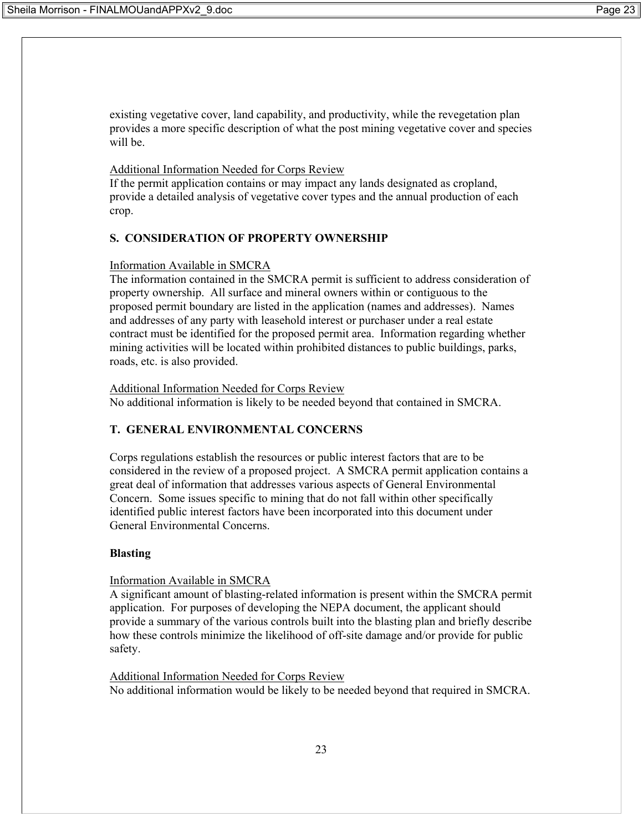existing vegetative cover, land capability, and productivity, while the revegetation plan provides a more specific description of what the post mining vegetative cover and species will be.

#### Additional Information Needed for Corps Review

If the permit application contains or may impact any lands designated as cropland, provide a detailed analysis of vegetative cover types and the annual production of each crop.

#### **S. CONSIDERATION OF PROPERTY OWNERSHIP**

#### Information Available in SMCRA

The information contained in the SMCRA permit is sufficient to address consideration of property ownership. All surface and mineral owners within or contiguous to the proposed permit boundary are listed in the application (names and addresses). Names and addresses of any party with leasehold interest or purchaser under a real estate contract must be identified for the proposed permit area. Information regarding whether mining activities will be located within prohibited distances to public buildings, parks, roads, etc. is also provided.

Additional Information Needed for Corps Review No additional information is likely to be needed beyond that contained in SMCRA.

#### **T. GENERAL ENVIRONMENTAL CONCERNS**

Corps regulations establish the resources or public interest factors that are to be considered in the review of a proposed project. A SMCRA permit application contains a great deal of information that addresses various aspects of General Environmental Concern. Some issues specific to mining that do not fall within other specifically identified public interest factors have been incorporated into this document under General Environmental Concerns.

#### **Blasting**

#### Information Available in SMCRA

A significant amount of blasting-related information is present within the SMCRA permit application. For purposes of developing the NEPA document, the applicant should provide a summary of the various controls built into the blasting plan and briefly describe how these controls minimize the likelihood of off-site damage and/or provide for public safety.

Additional Information Needed for Corps Review No additional information would be likely to be needed beyond that required in SMCRA.